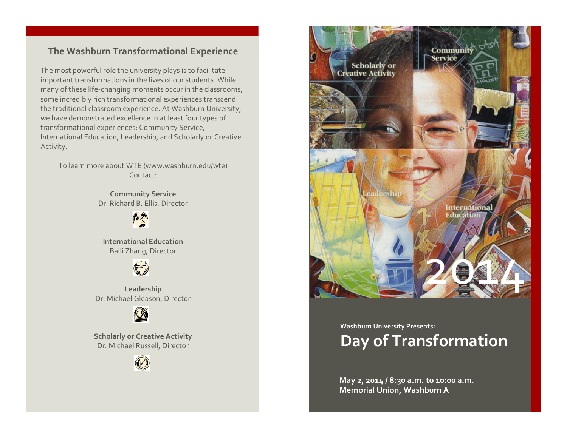## **The Washburn Transformational Experience**

The most powerful role the university plays is to facilitate important transformations in the lives of our students. While many of these life-changing moments occur in the classrooms, some incredibly rich transformational experiences transcend the traditional classroom experience. At Washburn University, we have demonstrated excellence in at least four types of transformational experiences: Community Service, International Education, Leadership, and Scholarly or Creative Activity.

To learn more about WTE (www.washburn.edu/wte) Contact:

> **Community Service** Dr. Richard B. Ellis, Director



**International Education** Baili Zhang, Director



**Leadership** Dr. Michael Gleason, Director



**Scholarly or Creative Activity** Dr. Michael Russell, Director





## **Washburn University Presents: Day of Transformation**

**May 2, 2014 / 8:30 a.m. to 10:00 a.m. Memorial Union, Washburn A**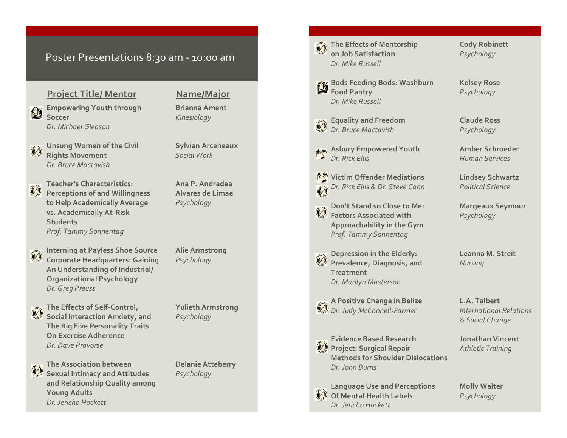## Poster Presentations 8:30 am - 10:00 am

## **Project Title/ Mentor Name/Major**

**Empowering Youth through Brianna Ament Soccer** *Kinesiology Dr. Michael Gleason*

- **Unsung Women of the Civil Sylvian Arceneaux Rights Movement** *Social Work Dr. Bruce Mactavish*
- **Teacher's Characteristics: Ana P. Andradea Perceptions of and Willingness Alvares de Limae to Help Academically Average** *Psychology* **vs. Academically At -Risk Students** *Prof. Tammy Sonnentag*
- **Interning at Payless Shoe Source Alie Armstrong Corporate Headquarters: Gaining** *Psychology* **An Understanding of Industrial/ Organizational Psychology** *Dr. Greg Preuss*

**The Effects of Self Social Interaction Anxiety, and** *Psychology* **The Big Five Personality Traits On Exercise Adherence** *Dr. Dave Provorse*

**-Control, Yulieth Armstrong**



**The Association between Delanie Atteberry Sexual Intimacy and Attitudes** *Psychology* **and Relationship Quality among Young Adults** *Dr. Jericho Hockett*

**The Effects of Mentorship Cody Robinett on Job Satisfaction** *Psychology Dr. Mike Russell*

**Bods Feeding Bods: Washburn Kelsey Rose Food Pantry** *Psychology Dr. Mike Russell*

**Asbury Empowered Youth Amber Schroeder**

**Victim Offender Mediations Lindsey Schwartz** *Dr. Rick Ellis & Dr. Steve Cann Political Science*

**Don't Stand so Close to Me: Margeaux Seymour Factors Associated with** *Psychology* **Approachability in the Gym** *Prof. Tammy Sonnentag*

**Depression in the Elderly: Leanna M. Streit Prevalence, Diagnosis, and** *Nursing* **Treatment** *Dr. Marilyn Masterson*

**A Positive Change in Belize L.A. Talbert** *Dr. Judy McConnell*

**Evidence Based Research Jonathan Vincent Project: Surgical Repair** *Athletic Training* **Methods for Shoulder Dislocations** *Dr. John Burns*

**Language Use and Perceptions Molly Walter Of Mental Health Labels** *Psychology Dr. Jericho Hockett*

**Equality and Freedom Claude Ross** *Dr. Bruce Mactavish Psychology*

*Dr. Rick Ellis Human Services*

*-Farmer International Relations & Social Change*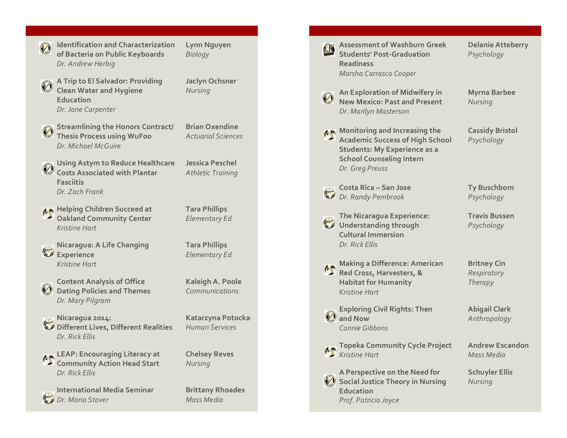**Identification and Characterization Lynn Nguyen of Bacteria on Public Keyboards** *Biology Dr. Andrew Herbig*

**A Trip to El Salvador: Providing Jaclyn Ochsner Clean Water and Hygiene** *Nursing* **Education** *Dr. Jane Carpenter*

- **Streamlining the Honors Contract/ Brian Oxendine Thesis Process using WuFoo** *Actuarial Sciences Dr. Michael McGuire*
- **Using Astym to Reduce Healthcare Jessica Peschel Costs Associated with Plantar** *Athletic Training* **Fasciitis** *Dr. Zach Frank*
- **AA** Helping Children Succeed at Tara Phillips **Oakland Community Center** *Elementary Ed Kristine Hart*
- **Nicaragua: A Life Changing Tara Phillips Experience** *Elementary Ed Kristine Hart*
- **Content Analysis of Office Kaleigh A. Poole Dating Policies and Themes** *Communications Dr. Mary Pilgram*
- **Nicaragua 2014: Katarzyna Potocka Different Lives, Different Realities** *Human Services Dr. Rick Ellis*
- **LEAP: Encouraging Literacy at Chelsey Reves Community Action Head Start** *Nursing Dr. Rick Ellis*
- **International Media Seminar Brittany Rhoades** *Dr. Maria Stover Mass Media*

| <b>Assessment of Washburn Greek</b><br><b>Students' Post-Graduation</b><br><b>Readiness</b><br>Marsha Carrasco Cooper                                                | <b>Delanie Atteberry</b><br>Psychology       |
|----------------------------------------------------------------------------------------------------------------------------------------------------------------------|----------------------------------------------|
| An Exploration of Midwifery in<br><b>New Mexico: Past and Present</b><br>Dr. Marilyn Masterson                                                                       | <b>Myrna Barbee</b><br>Nursing               |
| Monitoring and Increasing the<br><b>Academic Success of High School</b><br><b>Students: My Experience as a</b><br><b>School Counseling Intern</b><br>Dr. Greg Preuss | <b>Cassidy Bristol</b><br>Psychology         |
| <b>Costa Rica - San Jose</b><br>Dr. Randy Pembrook                                                                                                                   | <b>Ty Buschbom</b><br>Psychology             |
| <b>The Nicaragua Experience:</b><br>Understanding through<br><b>Cultural Immersion</b><br>Dr. Rick Ellis                                                             | <b>Travis Bussen</b><br>Psychology           |
| <b>Making a Difference: American</b><br>Red Cross, Harvesters, &<br><b>Habitat for Humanity</b><br>Kristine Hart                                                     | <b>Britney Cin</b><br>Respiratory<br>Therapy |
| <b>Exploring Civil Rights: Then<br/>and Now</b><br>Connie Gibbons                                                                                                    | <b>Abigail Clark</b><br>Anthropology         |
| Topeka Community Cycle Project<br>Kristine Hart                                                                                                                      | <b>Andrew Escandon</b><br><b>Mass Media</b>  |
| A Perspective on the Need for<br><b>Social Justice Theory in Nursing</b><br><b>Education</b><br>Prof. Patricia Joyce                                                 | <b>Schuyler Ellis</b><br>Nursing             |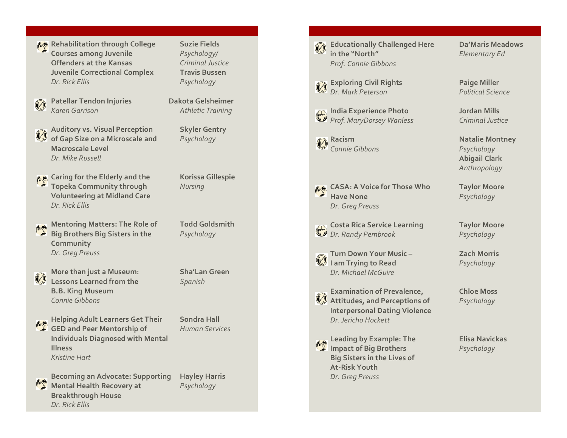**Rehabilitation through College Suzie Fields Courses among Juvenile** *Psychology/* **Offenders at the Kansas** *Criminal Justice* **Juvenile Correctional Complex Travis Bussen** *Dr. Rick Ellis Psychology*

Patellar Tendon Injuries **Dakota Gelsheimer** *Karen Garrison Athletic Training*

**Auditory vs. Visual Perception Skyler Gentry of Gap Size on a Microscale and** *Psychology* **Macroscale Level** *Dr. Mike Russell*

**A** Caring for the Elderly and the Korissa Gillespie **Topeka Community through** *Nursing* **Volunteering at Midland Care** *Dr. Rick Ellis*

- **Mentoring Matters: The Role of Todd Goldsmith Big Brothers Big Sisters in the** *Psychology* **Community** *Dr. Greg Preuss*
	- **More than just a Museum: Sha'Lan Green Lessons Learned from the** *Spanish* **B.B. King Museum** *Connie Gibbons*

**Helping Adult Learners Get Their Sondra Hall GED and Peer Mentorship of** *Human Services* **Individuals Diagnosed with Mental Illness** *Kristine Hart*

**Becoming an Advocate: Supporting Hayley Harris Mental Health Recovery at** *Psychology* **Breakthrough House** *Dr. Rick Ellis*

**Educationally Challenged Here Da'Maris Meadows in the "North"** *Elementary Ed Prof. Connie Gibbons*

**Exploring Civil Rights Paige Miller** *Dr. Mark Peterson Political Science*

**India Experience Photo Jordan Mills** *Prof. MaryDorsey Wanless Criminal Justice*

**Racism Natalie Montney** *Connie Gibbons Psychology*

**CASA: A Voice for Those Who Taylor Moore Have None** *Psychology Dr. Greg Preuss*

**Costa Rica Service Learning Taylor Moore** *Dr. Randy Pembrook Psychology*

**Turn Down Your Music I am Trying to Read** *Psychology Dr. Michael McGuire*

**Examination of Prevalence, Chloe Moss Attitudes, and Perceptions of** *Psychology* **Interpersonal Dating Violence** *Dr. Jericho Hockett*

**Leading by Example: The Elisa Navickas Impact of Big Brothers** *Psychology* **Big Sisters in the Lives of At -Risk Youth** *Dr. Greg Preuss*

**Abigail Clark** *Anthropology*

**– Zach Morris**